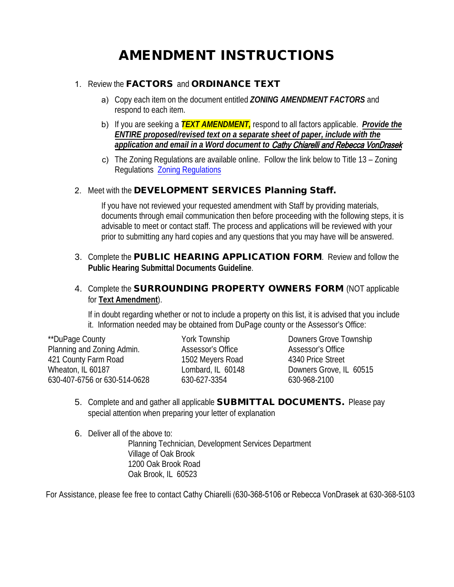# AMENDMENT INSTRUCTIONS

### 1. Review the FACTORS and ORDINANCE TEXT

- a) Copy each item on the document entitled *ZONING AMENDMENT FACTORS* and respond to each item.
- b) If you are seeking a *TEXT AMENDMENT,* respond to all factors applicable. *Provide the ENTIRE proposed/revised text on a separate sheet of paper, include with the application and email in a Word document to* Cathy Chiarelli and Rebecca VonDrasek
- c) The Zoning Regulations are available online. Follow the link below to Title 13 Zoning Regulations [Zoning Regulations](https://codelibrary.amlegal.com/codes/oakbrookil/latest/oakbrook_il/0-0-0-7606)

## 2. Meet with theDEVELOPMENT SERVICES Planning Staff.

If you have not reviewed your requested amendment with Staff by providing materials, documents through email communication then before proceeding with the following steps, it is advisable to meet or contact staff. The process and applications will be reviewed with your prior to submitting any hard copies and any questions that you may have will be answered.

3. Complete the PUBLIC HEARING APPLICATION FORM. Review and follow the **Public Hearing Submittal Documents Guideline**.

## 4. Complete the **SURROUNDING PROPERTY OWNERS FORM** (NOT applicable for **Text Amendment**).

If in doubt regarding whether or not to include a property on this list, it is advised that you include it. Information needed may be obtained from DuPage county or the Assessor's Office:

\*\*DuPage County The State of County Tork Township Township NuPage County Planning and Zoning Admin. Assessor's Office Assessor's Office 421 County Farm Road 1502 Meyers Road 4340 Price Street Wheaton, IL 60187 Lombard, IL 60148 Downers Grove, IL 60515 630-407-6756 or 630-514-0628 630-627-3354 630-968-2100

- 5. Complete and and gather all applicable **SUBMITTAL DOCUMENTS.** Please pay special attention when preparing your letter of explanation
- 6. Deliver all of the above to:

Planning Technician, Development Services Department Village of Oak Brook 1200 Oak Brook Road Oak Brook, IL 60523

For Assistance, please fee free to contact Cathy Chiarelli (630-368-5106 or Rebecca VonDrasek at 630-368-5103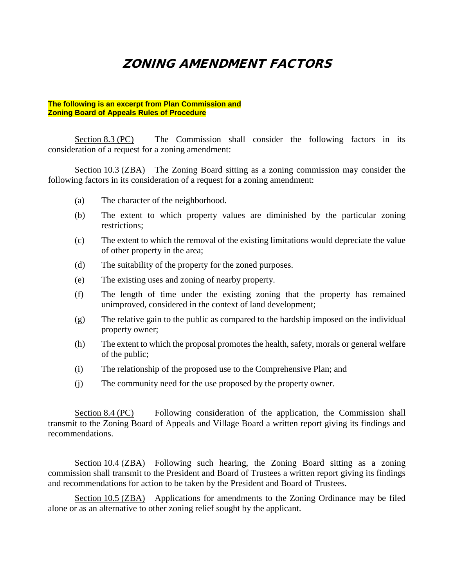## ZONING AMENDMENT FACTORS

#### **The following is an excerpt from Plan Commission and Zoning Board of Appeals Rules of Procedure**

Section 8.3 (PC) The Commission shall consider the following factors in its consideration of a request for a zoning amendment:

Section 10.3 (ZBA) The Zoning Board sitting as a zoning commission may consider the following factors in its consideration of a request for a zoning amendment:

- (a) The character of the neighborhood.
- (b) The extent to which property values are diminished by the particular zoning restrictions;
- (c) The extent to which the removal of the existing limitations would depreciate the value of other property in the area;
- (d) The suitability of the property for the zoned purposes.
- (e) The existing uses and zoning of nearby property.
- (f) The length of time under the existing zoning that the property has remained unimproved, considered in the context of land development;
- (g) The relative gain to the public as compared to the hardship imposed on the individual property owner;
- (h) The extent to which the proposal promotes the health, safety, morals or general welfare of the public;
- (i) The relationship of the proposed use to the Comprehensive Plan; and
- (j) The community need for the use proposed by the property owner.

Section 8.4 (PC) Following consideration of the application, the Commission shall transmit to the Zoning Board of Appeals and Village Board a written report giving its findings and recommendations.

Section 10.4 (ZBA) Following such hearing, the Zoning Board sitting as a zoning commission shall transmit to the President and Board of Trustees a written report giving its findings and recommendations for action to be taken by the President and Board of Trustees.

Section 10.5 (ZBA) Applications for amendments to the Zoning Ordinance may be filed alone or as an alternative to other zoning relief sought by the applicant.